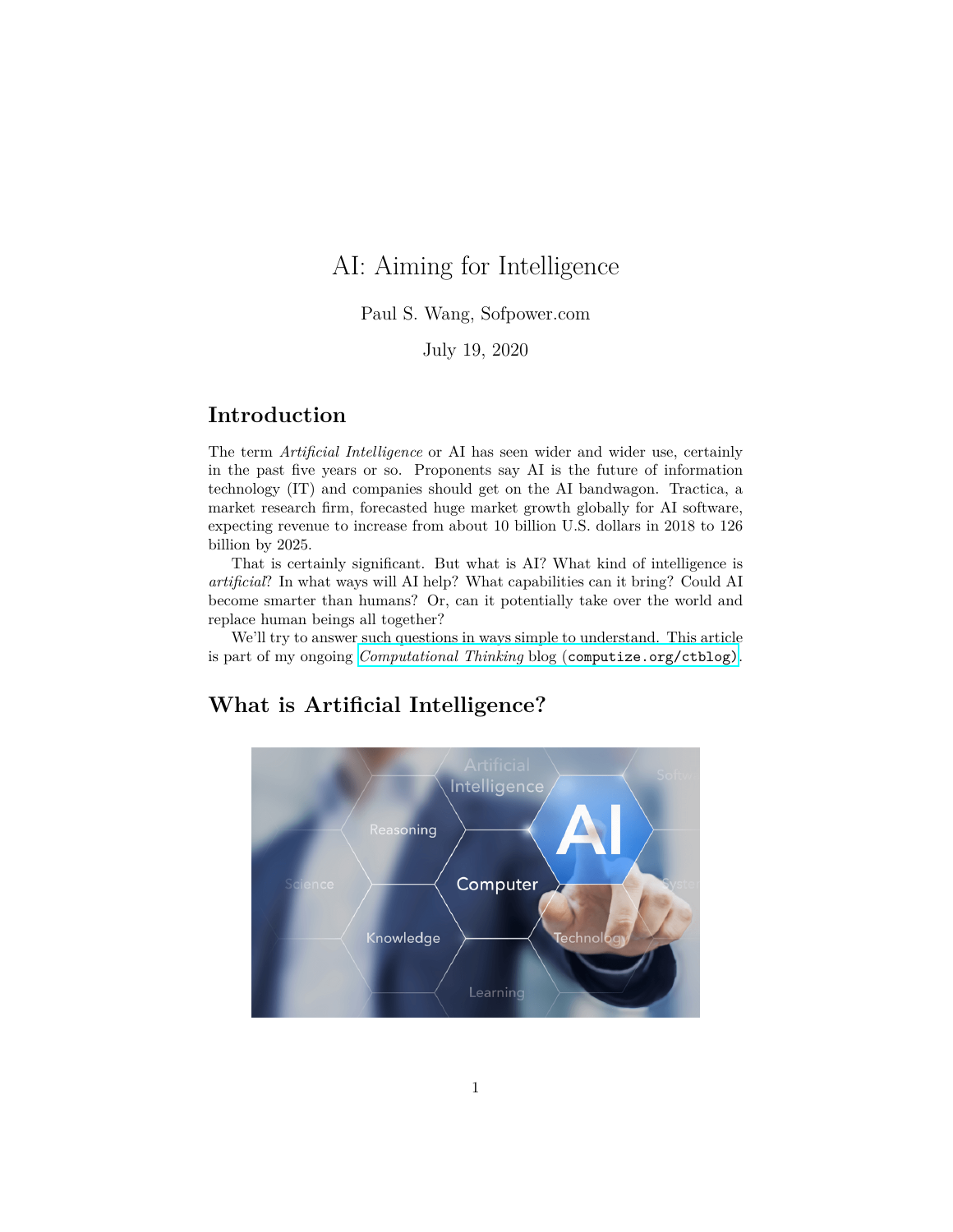# AI: Aiming for Intelligence

Paul S. Wang, Sofpower.com

July 19, 2020

## **Introduction**

The term *Artificial Intelligence* or AI has seen wider and wider use, certainly in the past five years or so. Proponents say AI is the future of information technology (IT) and companies should get on the AI bandwagon. Tractica, a market research firm, forecasted huge market growth globally for AI software, expecting revenue to increase from about 10 billion U.S. dollars in 2018 to 126 billion by 2025.

That is certainly significant. But what is AI? What kind of intelligence is *artificial*? In what ways will AI help? What capabilities can it bring? Could AI become smarter than humans? Or, can it potentially take over the world and replace human beings all together?

We'll try to answer such questions in ways simple to understand. This article is part of my ongoing *Computational Thinking* blog ([computize.org/ctblog\)](https://computize.org/ctblog).

## **What is Artificial Intelligence?**

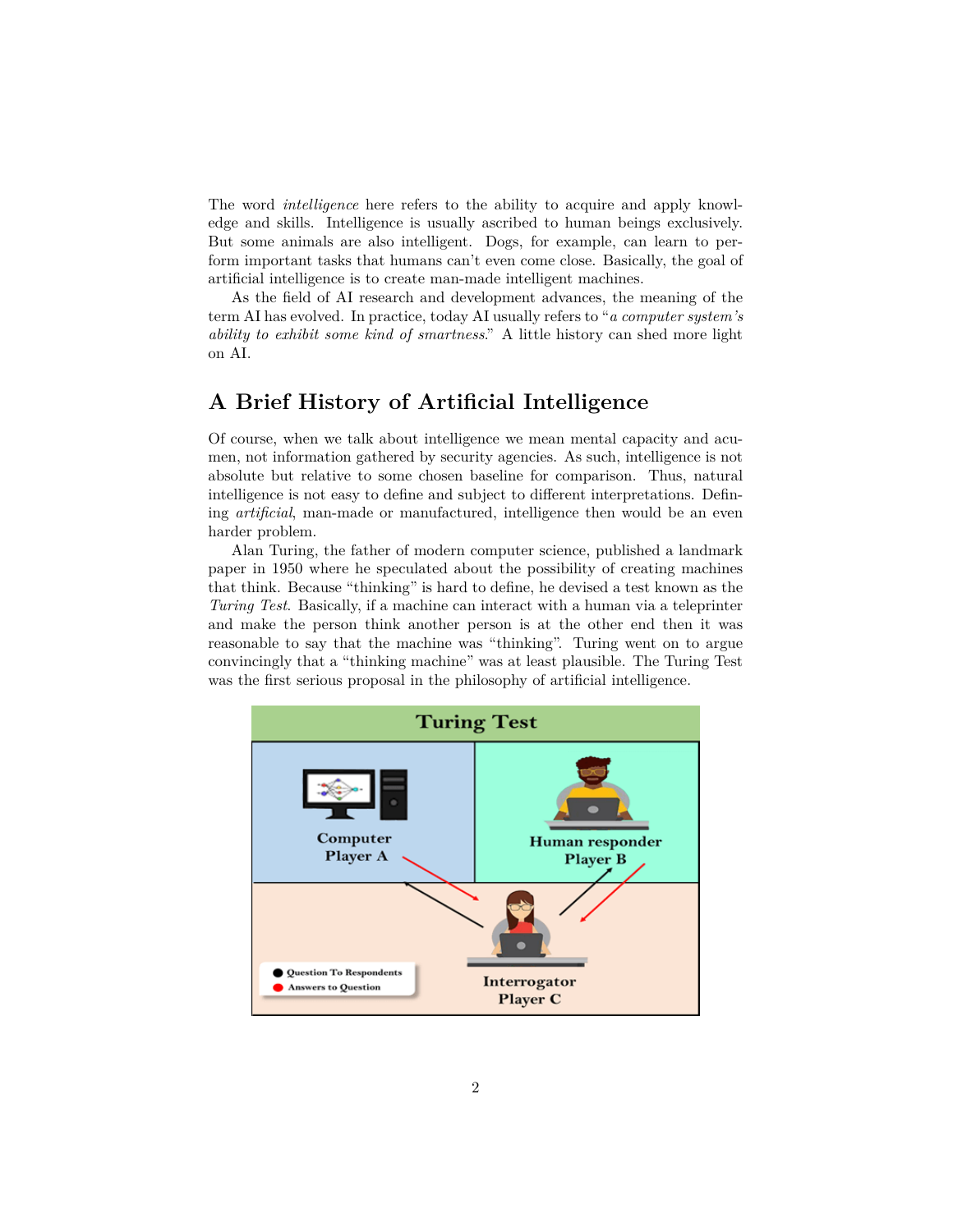The word *intelligence* here refers to the ability to acquire and apply knowledge and skills. Intelligence is usually ascribed to human beings exclusively. But some animals are also intelligent. Dogs, for example, can learn to perform important tasks that humans can't even come close. Basically, the goal of artificial intelligence is to create man-made intelligent machines.

As the field of AI research and development advances, the meaning of the term AI has evolved. In practice, today AI usually refers to "*a computer system's ability to exhibit some kind of smartness*." A little history can shed more light on AI.

#### **A Brief History of Artificial Intelligence**

Of course, when we talk about intelligence we mean mental capacity and acumen, not information gathered by security agencies. As such, intelligence is not absolute but relative to some chosen baseline for comparison. Thus, natural intelligence is not easy to define and subject to different interpretations. Defining *artificial*, man-made or manufactured, intelligence then would be an even harder problem.

Alan Turing, the father of modern computer science, published a landmark paper in 1950 where he speculated about the possibility of creating machines that think. Because "thinking" is hard to define, he devised a test known as the *Turing Test*. Basically, if a machine can interact with a human via a teleprinter and make the person think another person is at the other end then it was reasonable to say that the machine was "thinking". Turing went on to argue convincingly that a "thinking machine" was at least plausible. The Turing Test was the first serious proposal in the philosophy of artificial intelligence.

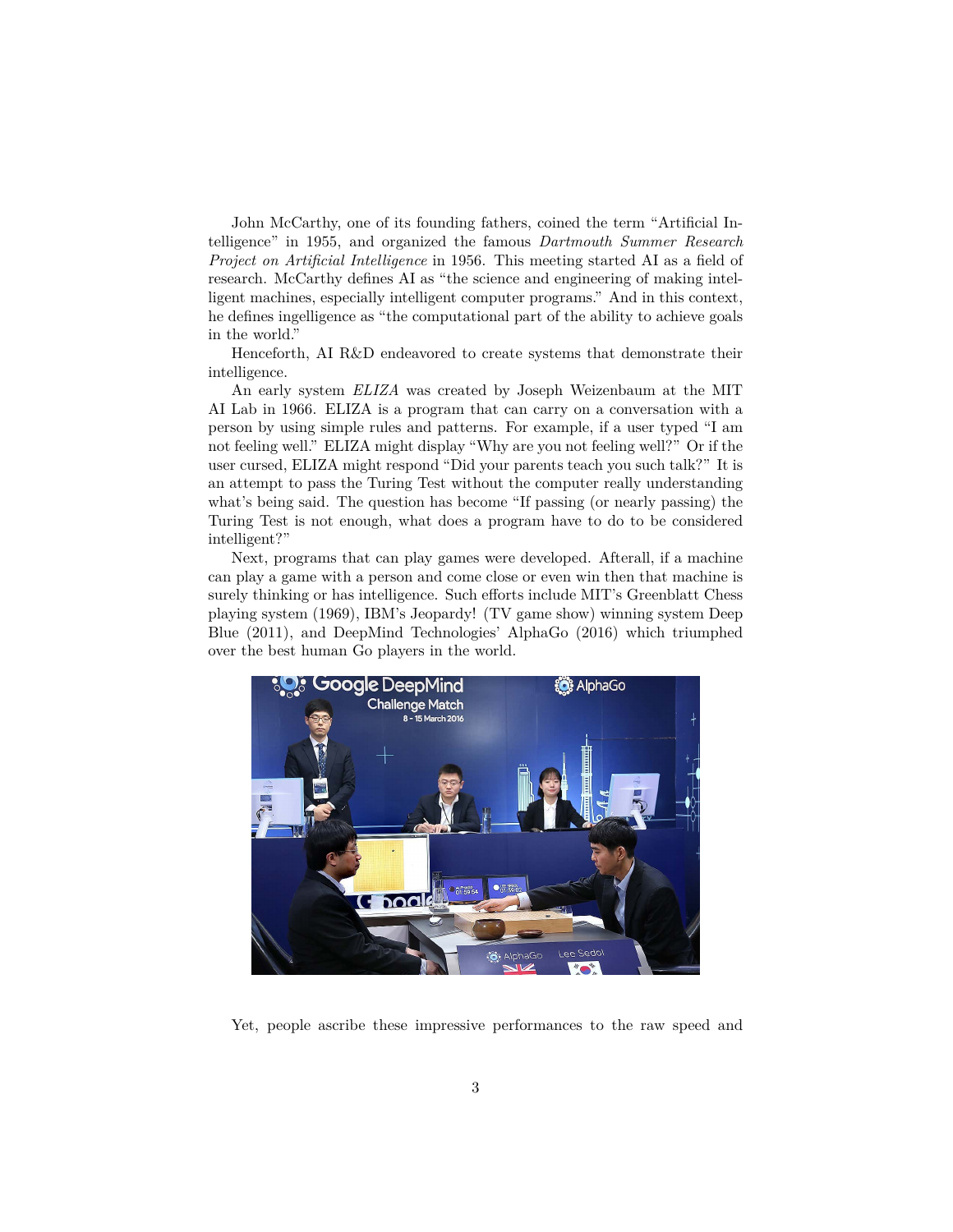John McCarthy, one of its founding fathers, coined the term "Artificial Intelligence" in 1955, and organized the famous *Dartmouth Summer Research Project on Artificial Intelligence* in 1956. This meeting started AI as a field of research. McCarthy defines AI as "the science and engineering of making intelligent machines, especially intelligent computer programs." And in this context, he defines ingelligence as "the computational part of the ability to achieve goals in the world."

Henceforth, AI R&D endeavored to create systems that demonstrate their intelligence.

An early system *ELIZA* was created by Joseph Weizenbaum at the MIT AI Lab in 1966. ELIZA is a program that can carry on a conversation with a person by using simple rules and patterns. For example, if a user typed "I am not feeling well." ELIZA might display "Why are you not feeling well?" Or if the user cursed, ELIZA might respond "Did your parents teach you such talk?" It is an attempt to pass the Turing Test without the computer really understanding what's being said. The question has become "If passing (or nearly passing) the Turing Test is not enough, what does a program have to do to be considered intelligent?"

Next, programs that can play games were developed. Afterall, if a machine can play a game with a person and come close or even win then that machine is surely thinking or has intelligence. Such efforts include MIT's Greenblatt Chess playing system (1969), IBM's Jeopardy! (TV game show) winning system Deep Blue (2011), and DeepMind Technologies' AlphaGo (2016) which triumphed over the best human Go players in the world.



Yet, people ascribe these impressive performances to the raw speed and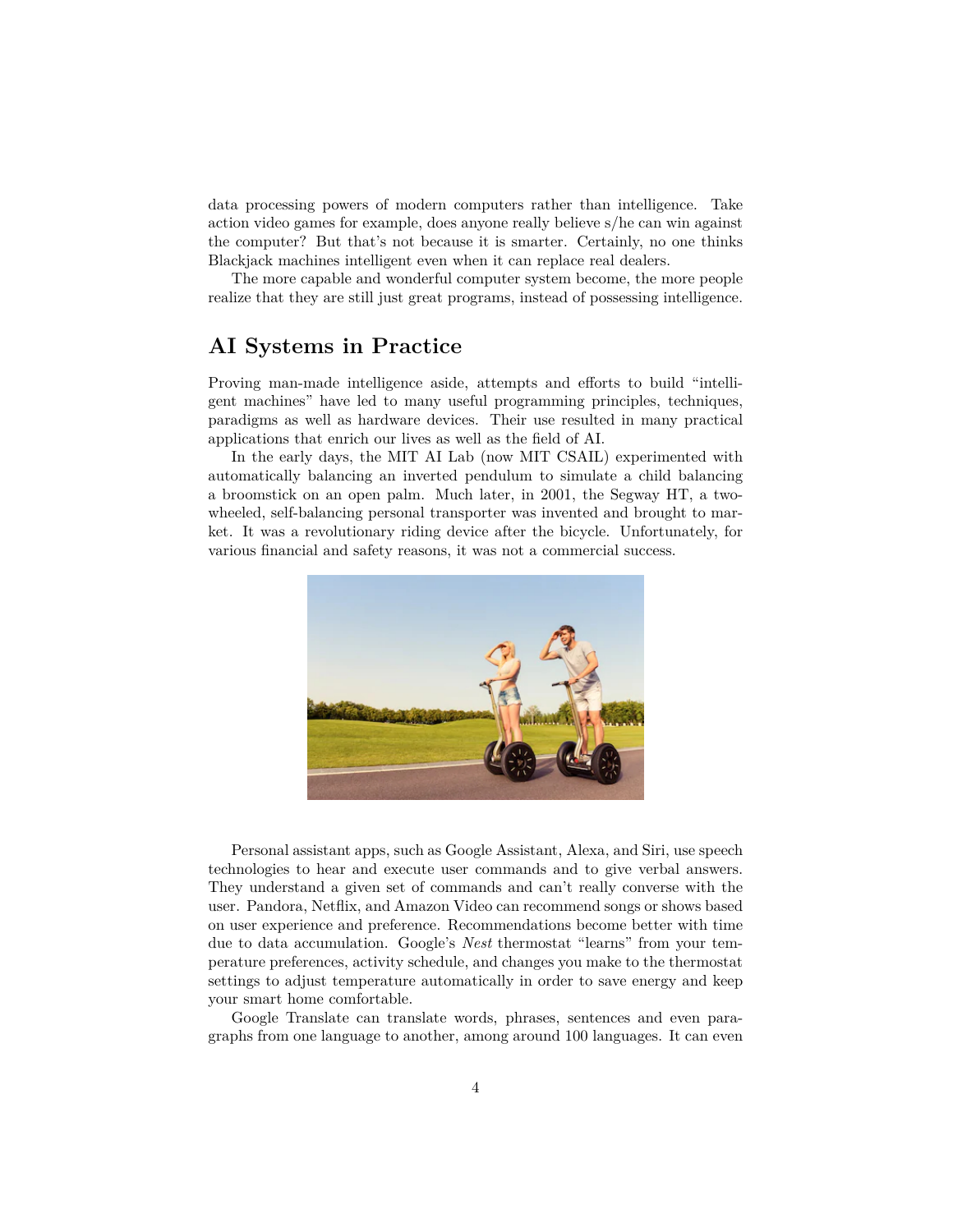data processing powers of modern computers rather than intelligence. Take action video games for example, does anyone really believe s/he can win against the computer? But that's not because it is smarter. Certainly, no one thinks Blackjack machines intelligent even when it can replace real dealers.

The more capable and wonderful computer system become, the more people realize that they are still just great programs, instead of possessing intelligence.

#### **AI Systems in Practice**

Proving man-made intelligence aside, attempts and efforts to build "intelligent machines" have led to many useful programming principles, techniques, paradigms as well as hardware devices. Their use resulted in many practical applications that enrich our lives as well as the field of AI.

In the early days, the MIT AI Lab (now MIT CSAIL) experimented with automatically balancing an inverted pendulum to simulate a child balancing a broomstick on an open palm. Much later, in 2001, the Segway HT, a twowheeled, self-balancing personal transporter was invented and brought to market. It was a revolutionary riding device after the bicycle. Unfortunately, for various financial and safety reasons, it was not a commercial success.



Personal assistant apps, such as Google Assistant, Alexa, and Siri, use speech technologies to hear and execute user commands and to give verbal answers. They understand a given set of commands and can't really converse with the user. Pandora, Netflix, and Amazon Video can recommend songs or shows based on user experience and preference. Recommendations become better with time due to data accumulation. Google's *Nest* thermostat "learns" from your temperature preferences, activity schedule, and changes you make to the thermostat settings to adjust temperature automatically in order to save energy and keep your smart home comfortable.

Google Translate can translate words, phrases, sentences and even paragraphs from one language to another, among around 100 languages. It can even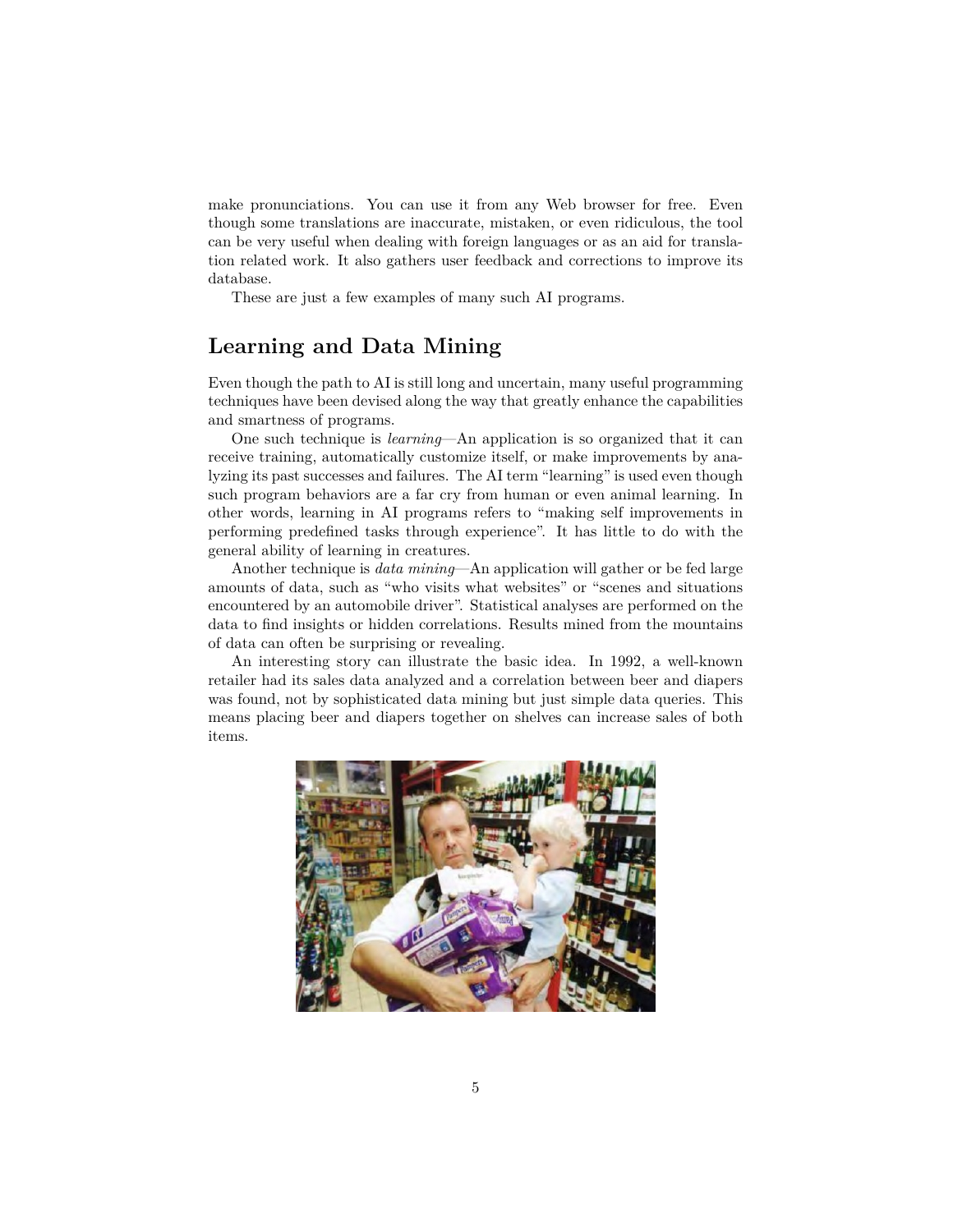make pronunciations. You can use it from any Web browser for free. Even though some translations are inaccurate, mistaken, or even ridiculous, the tool can be very useful when dealing with foreign languages or as an aid for translation related work. It also gathers user feedback and corrections to improve its database.

These are just a few examples of many such AI programs.

### **Learning and Data Mining**

Even though the path to AI is still long and uncertain, many useful programming techniques have been devised along the way that greatly enhance the capabilities and smartness of programs.

One such technique is *learning*—An application is so organized that it can receive training, automatically customize itself, or make improvements by analyzing its past successes and failures. The AI term "learning" is used even though such program behaviors are a far cry from human or even animal learning. In other words, learning in AI programs refers to "making self improvements in performing predefined tasks through experience". It has little to do with the general ability of learning in creatures.

Another technique is *data mining*—An application will gather or be fed large amounts of data, such as "who visits what websites" or "scenes and situations encountered by an automobile driver". Statistical analyses are performed on the data to find insights or hidden correlations. Results mined from the mountains of data can often be surprising or revealing.

An interesting story can illustrate the basic idea. In 1992, a well-known retailer had its sales data analyzed and a correlation between beer and diapers was found, not by sophisticated data mining but just simple data queries. This means placing beer and diapers together on shelves can increase sales of both items.

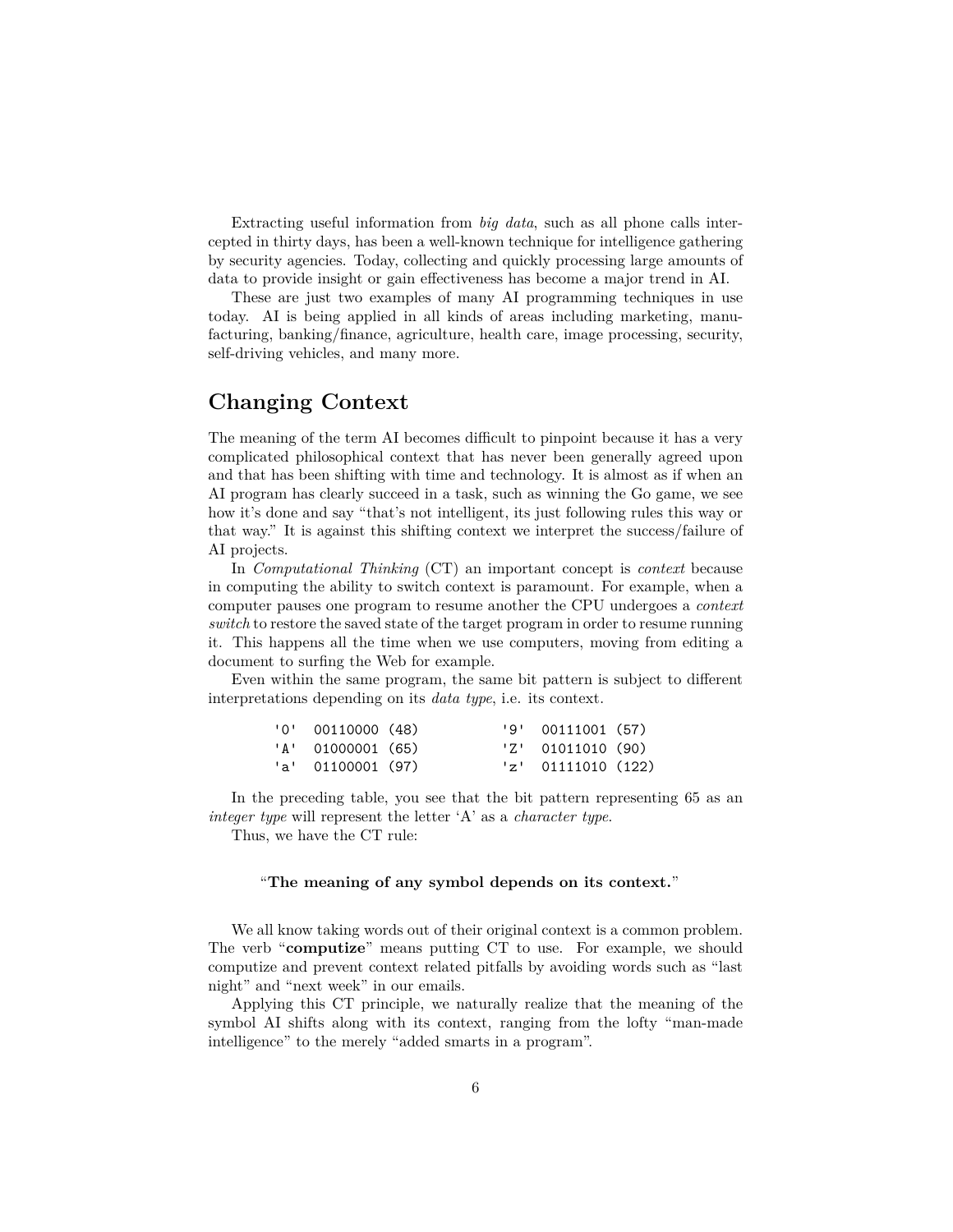Extracting useful information from *big data*, such as all phone calls intercepted in thirty days, has been a well-known technique for intelligence gathering by security agencies. Today, collecting and quickly processing large amounts of data to provide insight or gain effectiveness has become a major trend in AI.

These are just two examples of many AI programming techniques in use today. AI is being applied in all kinds of areas including marketing, manufacturing, banking/finance, agriculture, health care, image processing, security, self-driving vehicles, and many more.

#### **Changing Context**

The meaning of the term AI becomes difficult to pinpoint because it has a very complicated philosophical context that has never been generally agreed upon and that has been shifting with time and technology. It is almost as if when an AI program has clearly succeed in a task, such as winning the Go game, we see how it's done and say "that's not intelligent, its just following rules this way or that way." It is against this shifting context we interpret the success/failure of AI projects.

In *Computational Thinking* (CT) an important concept is *context* because in computing the ability to switch context is paramount. For example, when a computer pauses one program to resume another the CPU undergoes a *context switch* to restore the saved state of the target program in order to resume running it. This happens all the time when we use computers, moving from editing a document to surfing the Web for example.

Even within the same program, the same bit pattern is subject to different interpretations depending on its *data type*, i.e. its context.

| $'0'$ 00110000 (48) |  | '9' 00111001 (57)    |  |
|---------------------|--|----------------------|--|
| 'A' 01000001 (65)   |  | $'Z'$ 01011010 (90)  |  |
| 'a' 01100001 (97)   |  | $'z'$ 01111010 (122) |  |

In the preceding table, you see that the bit pattern representing 65 as an *integer type* will represent the letter 'A' as a *character type*.

Thus, we have the CT rule:

#### "**The meaning of any symbol depends on its context.**"

We all know taking words out of their original context is a common problem. The verb "**computize**" means putting CT to use. For example, we should computize and prevent context related pitfalls by avoiding words such as "last night" and "next week" in our emails.

Applying this CT principle, we naturally realize that the meaning of the symbol AI shifts along with its context, ranging from the lofty "man-made intelligence" to the merely "added smarts in a program".